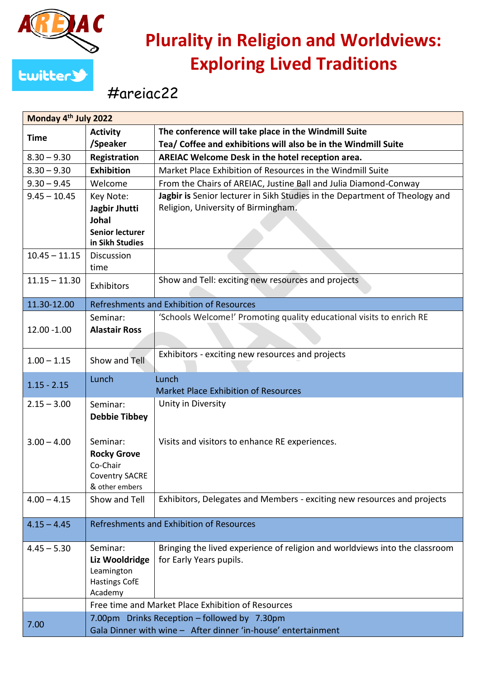

## **Plurality in Religion and Worldviews: Exploring Lived Traditions**

## #areiac22

| Monday 4 <sup>th</sup> July 2022 |                                                    |                                                                             |  |
|----------------------------------|----------------------------------------------------|-----------------------------------------------------------------------------|--|
| <b>Time</b>                      | <b>Activity</b>                                    | The conference will take place in the Windmill Suite                        |  |
|                                  | /Speaker                                           | Tea/ Coffee and exhibitions will also be in the Windmill Suite              |  |
| $8.30 - 9.30$                    | Registration                                       | AREIAC Welcome Desk in the hotel reception area.                            |  |
| $8.30 - 9.30$                    | <b>Exhibition</b>                                  | Market Place Exhibition of Resources in the Windmill Suite                  |  |
| $9.30 - 9.45$                    | Welcome                                            | From the Chairs of AREIAC, Justine Ball and Julia Diamond-Conway            |  |
| $9.45 - 10.45$                   | Key Note:                                          | Jagbir is Senior lecturer in Sikh Studies in the Department of Theology and |  |
|                                  | Jagbir Jhutti<br><b>Johal</b>                      | Religion, University of Birmingham.                                         |  |
|                                  | <b>Senior lecturer</b>                             |                                                                             |  |
|                                  | in Sikh Studies                                    |                                                                             |  |
| $10.45 - 11.15$                  | <b>Discussion</b>                                  |                                                                             |  |
|                                  | time                                               |                                                                             |  |
| $11.15 - 11.30$                  |                                                    | Show and Tell: exciting new resources and projects                          |  |
|                                  | Exhibitors                                         |                                                                             |  |
| 11.30-12.00                      | Refreshments and Exhibition of Resources           |                                                                             |  |
|                                  | Seminar:                                           | 'Schools Welcome!' Promoting quality educational visits to enrich RE        |  |
| 12.00 -1.00                      | <b>Alastair Ross</b>                               |                                                                             |  |
|                                  |                                                    |                                                                             |  |
| $1.00 - 1.15$                    | Show and Tell                                      | Exhibitors - exciting new resources and projects                            |  |
| $1.15 - 2.15$                    | Lunch                                              | Lunch                                                                       |  |
|                                  |                                                    | <b>Market Place Exhibition of Resources</b>                                 |  |
| $2.15 - 3.00$                    | Seminar:                                           | Unity in Diversity                                                          |  |
|                                  | <b>Debbie Tibbey</b>                               |                                                                             |  |
|                                  |                                                    |                                                                             |  |
| $3.00 - 4.00$                    | Seminar:                                           | Visits and visitors to enhance RE experiences.                              |  |
|                                  | <b>Rocky Grove</b>                                 |                                                                             |  |
|                                  | Co-Chair<br><b>Coventry SACRE</b>                  |                                                                             |  |
|                                  | & other embers                                     |                                                                             |  |
| $4.00 - 4.15$                    | Show and Tell                                      | Exhibitors, Delegates and Members - exciting new resources and projects     |  |
|                                  |                                                    |                                                                             |  |
| $4.15 - 4.45$                    | Refreshments and Exhibition of Resources           |                                                                             |  |
|                                  |                                                    |                                                                             |  |
| $4.45 - 5.30$                    | Seminar:                                           | Bringing the lived experience of religion and worldviews into the classroom |  |
|                                  | Liz Wooldridge                                     | for Early Years pupils.                                                     |  |
|                                  | Leamington                                         |                                                                             |  |
|                                  | <b>Hastings CofE</b><br>Academy                    |                                                                             |  |
|                                  | Free time and Market Place Exhibition of Resources |                                                                             |  |
|                                  | 7.00pm Drinks Reception - followed by 7.30pm       |                                                                             |  |
| 7.00                             |                                                    |                                                                             |  |